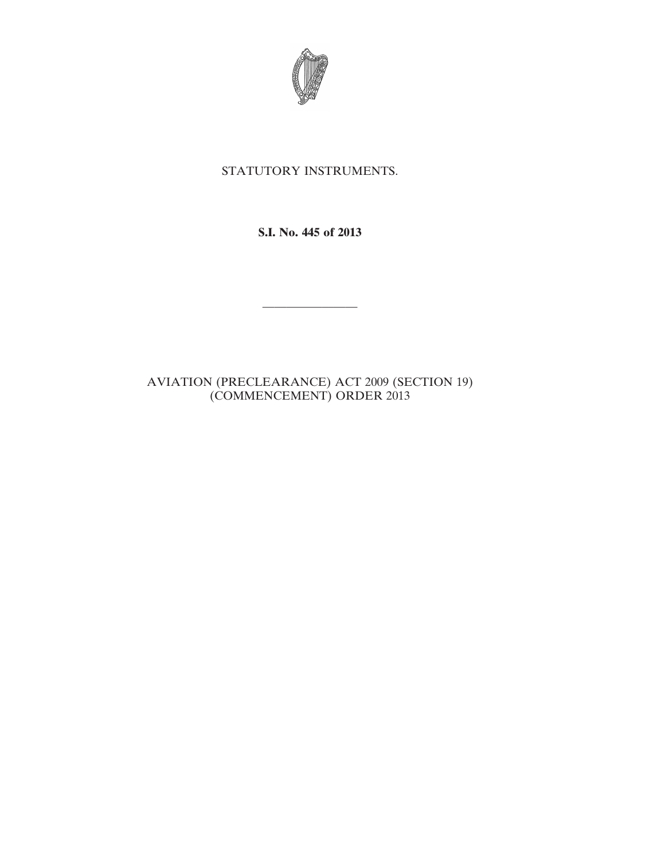

## STATUTORY INSTRUMENTS.

**S.I. No. 445 of 2013**

————————

AVIATION (PRECLEARANCE) ACT 2009 (SECTION 19) (COMMENCEMENT) ORDER 2013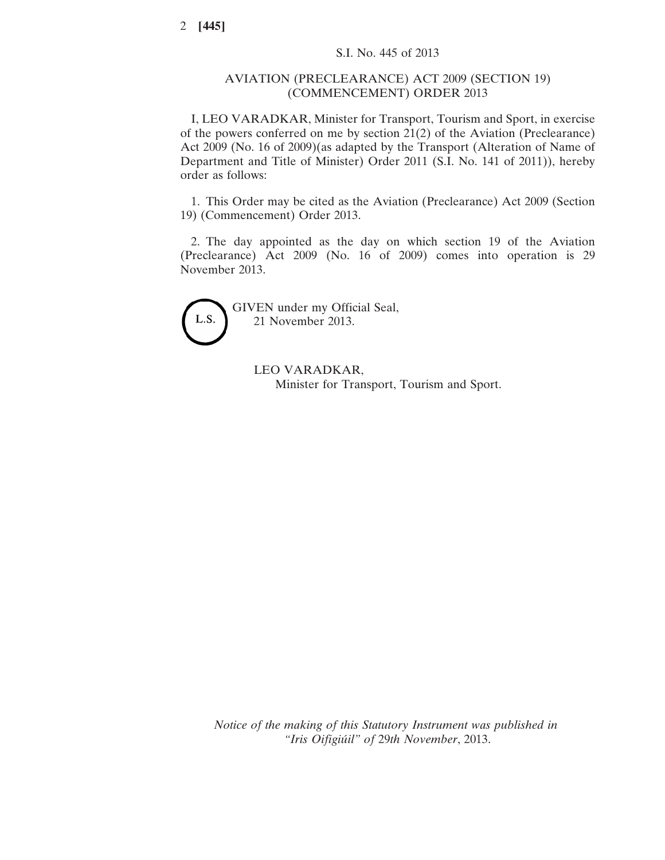## AVIATION (PRECLEARANCE) ACT 2009 (SECTION 19) (COMMENCEMENT) ORDER 2013

I, LEO VARADKAR, Minister for Transport, Tourism and Sport, in exercise of the powers conferred on me by section 21(2) of the Aviation (Preclearance) Act 2009 (No. 16 of 2009)(as adapted by the Transport (Alteration of Name of Department and Title of Minister) Order 2011 (S.I. No. 141 of 2011)), hereby order as follows:

1. This Order may be cited as the Aviation (Preclearance) Act 2009 (Section 19) (Commencement) Order 2013.

2. The day appointed as the day on which section 19 of the Aviation (Preclearance) Act 2009 (No. 16 of 2009) comes into operation is 29 November 2013.



GIVEN under my Official Seal, 21 November 2013.

> LEO VARADKAR, Minister for Transport, Tourism and Sport.

*Notice of the making of this Statutory Instrument was published in "Iris Oifigiúil" of* 29*th November*, 2013.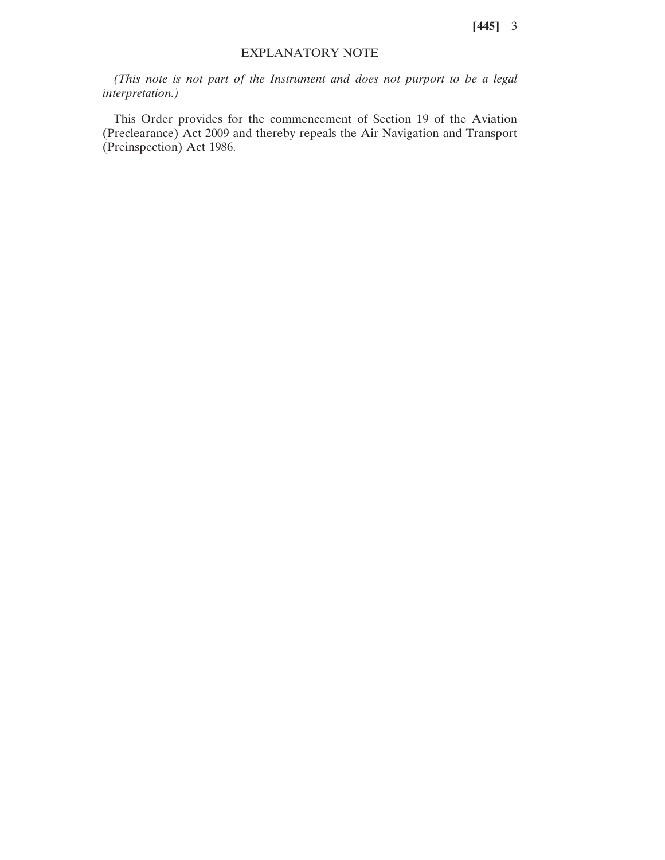**[445]** 3

## EXPLANATORY NOTE

*(This note is not part of the Instrument and does not purport to be a legal interpretation.)*

This Order provides for the commencement of Section 19 of the Aviation (Preclearance) Act 2009 and thereby repeals the Air Navigation and Transport (Preinspection) Act 1986.